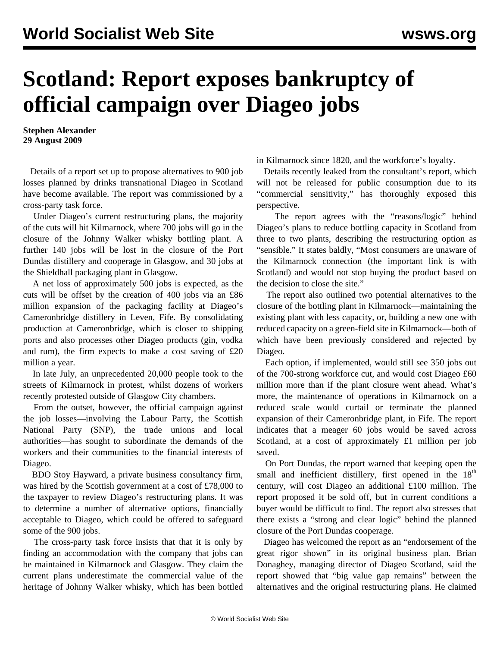## **Scotland: Report exposes bankruptcy of official campaign over Diageo jobs**

**Stephen Alexander 29 August 2009**

 Details of a report set up to propose alternatives to 900 job losses planned by drinks transnational Diageo in Scotland have become available. The report was commissioned by a cross-party task force.

 Under Diageo's current restructuring plans, the majority of the cuts will hit Kilmarnock, where 700 jobs will go in the closure of the Johnny Walker whisky bottling plant. A further 140 jobs will be lost in the closure of the Port Dundas distillery and cooperage in Glasgow, and 30 jobs at the Shieldhall packaging plant in Glasgow.

 A net loss of approximately 500 jobs is expected, as the cuts will be offset by the creation of 400 jobs via an £86 million expansion of the packaging facility at Diageo's Cameronbridge distillery in Leven, Fife. By consolidating production at Cameronbridge, which is closer to shipping ports and also processes other Diageo products (gin, vodka and rum), the firm expects to make a cost saving of £20 million a year.

 In late July, an unprecedented 20,000 people took to the streets of Kilmarnock in protest, whilst dozens of workers recently protested outside of Glasgow City chambers.

 From the outset, however, the official campaign against the job losses—involving the Labour Party, the Scottish National Party (SNP), the trade unions and local authorities—has sought to subordinate the demands of the workers and their communities to the financial interests of Diageo.

 BDO Stoy Hayward, a private business consultancy firm, was hired by the Scottish government at a cost of £78,000 to the taxpayer to review Diageo's restructuring plans. It was to determine a number of alternative options, financially acceptable to Diageo, which could be offered to safeguard some of the 900 jobs.

 The cross-party task force insists that that it is only by finding an accommodation with the company that jobs can be maintained in Kilmarnock and Glasgow. They claim the current plans underestimate the commercial value of the heritage of Johnny Walker whisky, which has been bottled in Kilmarnock since 1820, and the workforce's loyalty.

 Details recently leaked from the consultant's report, which will not be released for public consumption due to its "commercial sensitivity," has thoroughly exposed this perspective.

 The report agrees with the "reasons/logic" behind Diageo's plans to reduce bottling capacity in Scotland from three to two plants, describing the restructuring option as "sensible." It states baldly, "Most consumers are unaware of the Kilmarnock connection (the important link is with Scotland) and would not stop buying the product based on the decision to close the site."

 The report also outlined two potential alternatives to the closure of the bottling plant in Kilmarnock—maintaining the existing plant with less capacity, or, building a new one with reduced capacity on a green-field site in Kilmarnock—both of which have been previously considered and rejected by Diageo.

 Each option, if implemented, would still see 350 jobs out of the 700-strong workforce cut, and would cost Diageo £60 million more than if the plant closure went ahead. What's more, the maintenance of operations in Kilmarnock on a reduced scale would curtail or terminate the planned expansion of their Cameronbridge plant, in Fife. The report indicates that a meager 60 jobs would be saved across Scotland, at a cost of approximately £1 million per job saved.

 On Port Dundas, the report warned that keeping open the small and inefficient distillery, first opened in the  $18<sup>th</sup>$ century, will cost Diageo an additional £100 million. The report proposed it be sold off, but in current conditions a buyer would be difficult to find. The report also stresses that there exists a "strong and clear logic" behind the planned closure of the Port Dundas cooperage.

 Diageo has welcomed the report as an "endorsement of the great rigor shown" in its original business plan. Brian Donaghey, managing director of Diageo Scotland, said the report showed that "big value gap remains" between the alternatives and the original restructuring plans. He claimed